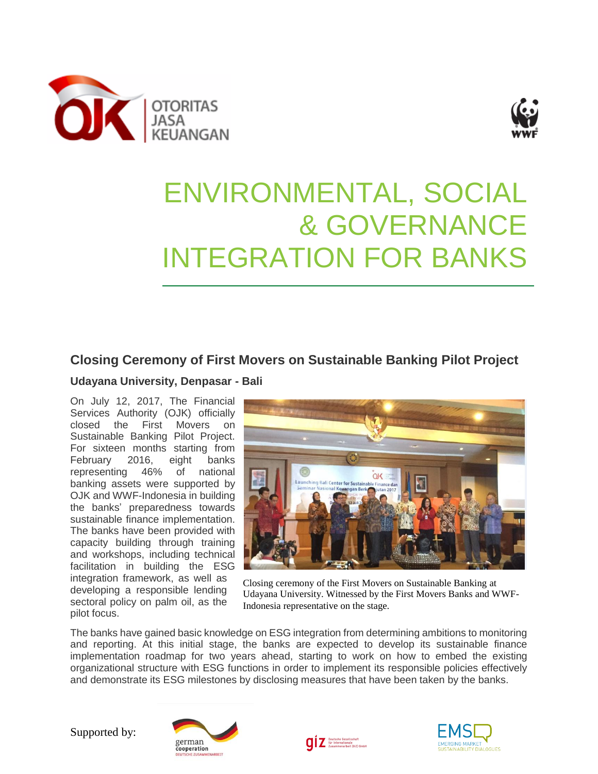



## ENVIRONMENTAL, SOCIAL & GOVERNANCE INTEGRATION FOR BANKS

## **Closing Ceremony of First Movers on Sustainable Banking Pilot Project**

## **Udayana University, Denpasar - Bali**

On July 12, 2017, The Financial Services Authority (OJK) officially closed the First Movers on Sustainable Banking Pilot Project. For sixteen months starting from February 2016, eight banks representing 46% of national banking assets were supported by OJK and WWF-Indonesia in building the banks' preparedness towards sustainable finance implementation. The banks have been provided with capacity building through training and workshops, including technical facilitation in building the ESG integration framework, as well as developing a responsible lending sectoral policy on palm oil, as the pilot focus.



Closing ceremony of the First Movers on Sustainable Banking at Udayana University. Witnessed by the First Movers Banks and WWF-Indonesia representative on the stage.

The banks have gained basic knowledge on ESG integration from determining ambitions to monitoring and reporting. At this initial stage, the banks are expected to develop its sustainable finance implementation roadmap for two years ahead, starting to work on how to embed the existing organizational structure with ESG functions in order to implement its responsible policies effectively and demonstrate its ESG milestones by disclosing measures that have been taken by the banks.